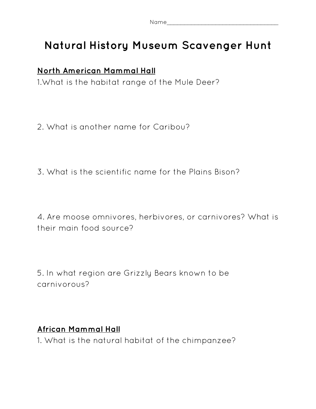| Name<br>$\tilde{}$ |  |  |  |
|--------------------|--|--|--|
|                    |  |  |  |

# **Natural History Museum Scavenger Hunt**

# **North American Mammal Hall**

1.What is the habitat range of the Mule Deer?

2. What is another name for Caribou?

3. What is the scientific name for the Plains Bison?

4. Are moose omnivores, herbivores, or carnivores? What is their main food source?

5. In what region are Grizzly Bears known to be carnivorous?

### **African Mammal Hall**

1. What is the natural habitat of the chimpanzee?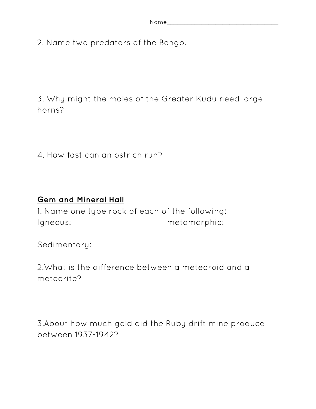2. Name two predators of the Bongo.

3. Why might the males of the Greater Kudu need large horns?

4. How fast can an ostrich run?

## **Gem and Mineral Hall**

1. Name one type rock of each of the following: Igneous: metamorphic:

Sedimentary:

2.What is the difference between a meteoroid and a meteorite?

3.About how much gold did the Ruby drift mine produce between 1937-1942?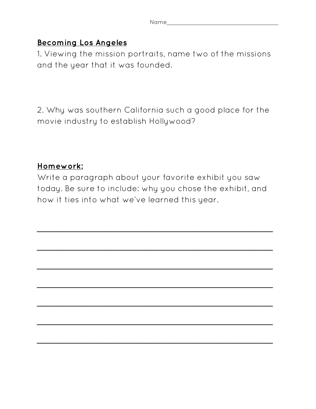### **Becoming Los Angeles**

1. Viewing the mission portraits, name two of the missions and the year that it was founded.

2. Why was southern California such a good place for the movie industry to establish Hollywood?

### **Homework:**

Write a paragraph about your favorite exhibit you saw today. Be sure to include: why you chose the exhibit, and how it ties into what we've learned this year.

 $\overline{\phantom{a}}$  , which is a set of the contract of the contract of the contract of the contract of the contract of the contract of the contract of the contract of the contract of the contract of the contract of the contract

 $\overline{\phantom{a}}$  , which is a set of the contract of the contract of the contract of the contract of the contract of the contract of the contract of the contract of the contract of the contract of the contract of the contract

 $\overline{\phantom{a}}$  , which is a set of the contract of the contract of the contract of the contract of the contract of the contract of the contract of the contract of the contract of the contract of the contract of the contract

 $\overline{\phantom{a}}$  , which is a set of the contract of the contract of the contract of the contract of the contract of the contract of the contract of the contract of the contract of the contract of the contract of the contract

 $\overline{\phantom{a}}$  , which is a set of the contract of the contract of the contract of the contract of the contract of the contract of the contract of the contract of the contract of the contract of the contract of the contract

 $\overline{\phantom{a}}$  , which is a set of the contract of the contract of the contract of the contract of the contract of the contract of the contract of the contract of the contract of the contract of the contract of the contract

 $\overline{\phantom{a}}$  , where  $\overline{\phantom{a}}$  , where  $\overline{\phantom{a}}$  , where  $\overline{\phantom{a}}$  , we have  $\overline{\phantom{a}}$  , we have  $\overline{\phantom{a}}$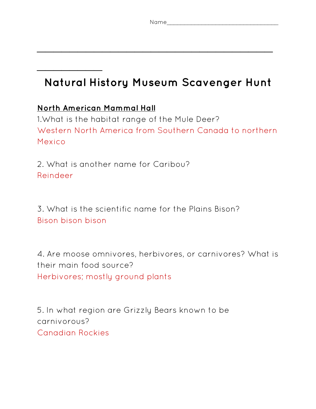$\overline{\phantom{a}}$  , which is a set of the contract of the contract of the contract of the contract of the contract of the contract of the contract of the contract of the contract of the contract of the contract of the contract

# **Natural History Museum Scavenger Hunt**

### **North American Mammal Hall**

 $\overline{\phantom{a}}$  . The set of the set of the set of the set of the set of the set of the set of the set of the set of the set of the set of the set of the set of the set of the set of the set of the set of the set of the set o

1.What is the habitat range of the Mule Deer? Western North America from Southern Canada to northern Mexico

2. What is another name for Caribou? Reindeer

3. What is the scientific name for the Plains Bison? Bison bison bison

4. Are moose omnivores, herbivores, or carnivores? What is their main food source? Herbivores; mostly ground plants

5. In what region are Grizzly Bears known to be carnivorous? Canadian Rockies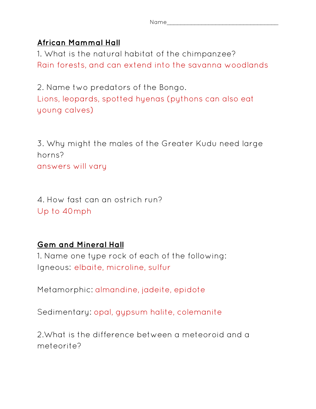| Name |  |  |  |
|------|--|--|--|
|      |  |  |  |

#### **African Mammal Hall**

1. What is the natural habitat of the chimpanzee? Rain forests, and can extend into the savanna woodlands

2. Name two predators of the Bongo. Lions, leopards, spotted hyenas (pythons can also eat young calves)

3. Why might the males of the Greater Kudu need large horns?

answers will vary

4. How fast can an ostrich run? Up to 40mph

### **Gem and Mineral Hall**

1. Name one type rock of each of the following: Igneous: elbaite, microline, sulfur

Metamorphic: almandine, jadeite, epidote

Sedimentary: opal, gypsum halite, colemanite

2.What is the difference between a meteoroid and a meteorite?